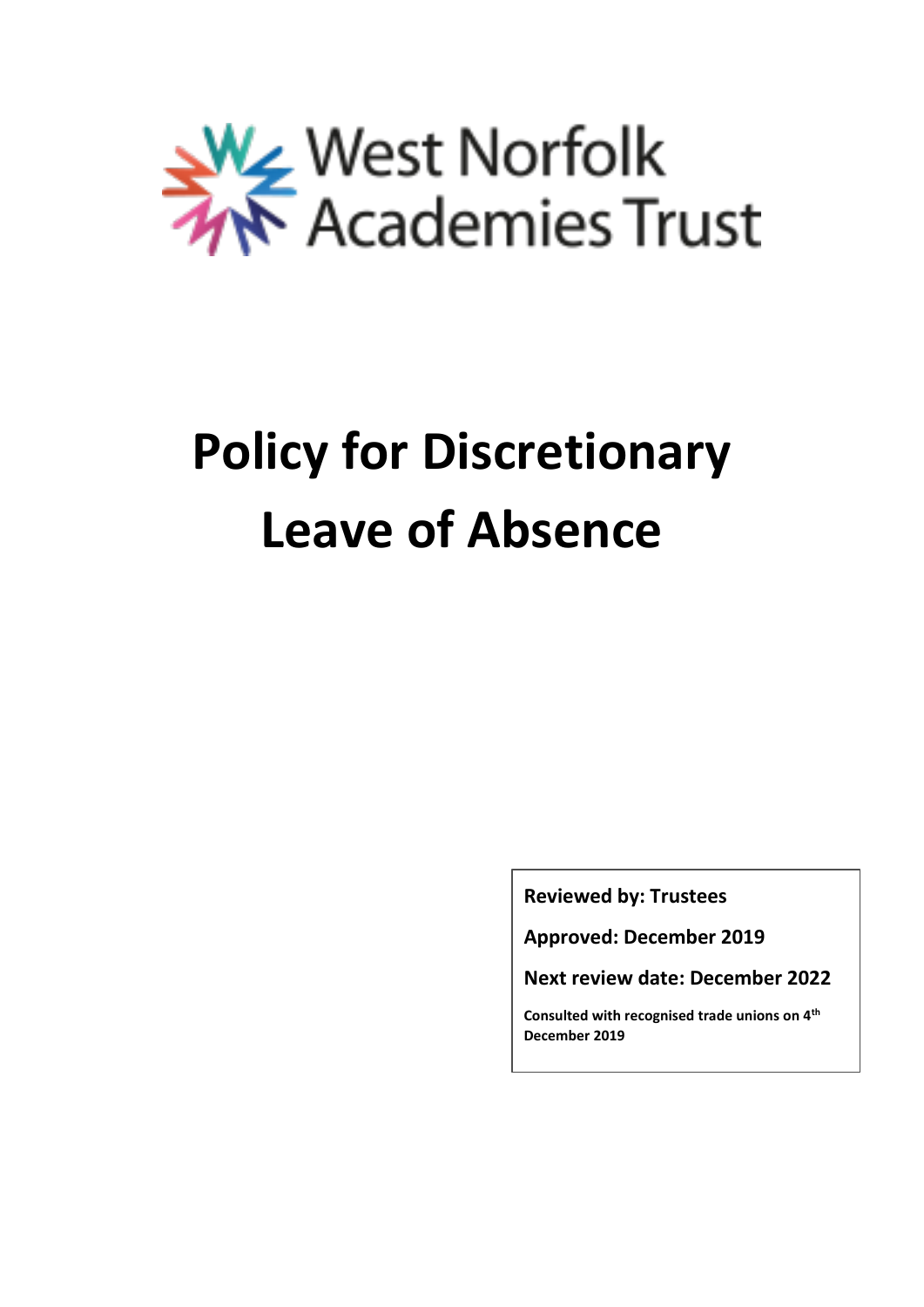

# **Policy for Discretionary Leave of Absence**

**Reviewed by: Trustees**

**Approved: December 2019**

**Next review date: December 2022**

**Consulted with recognised trade unions on 4th December 2019**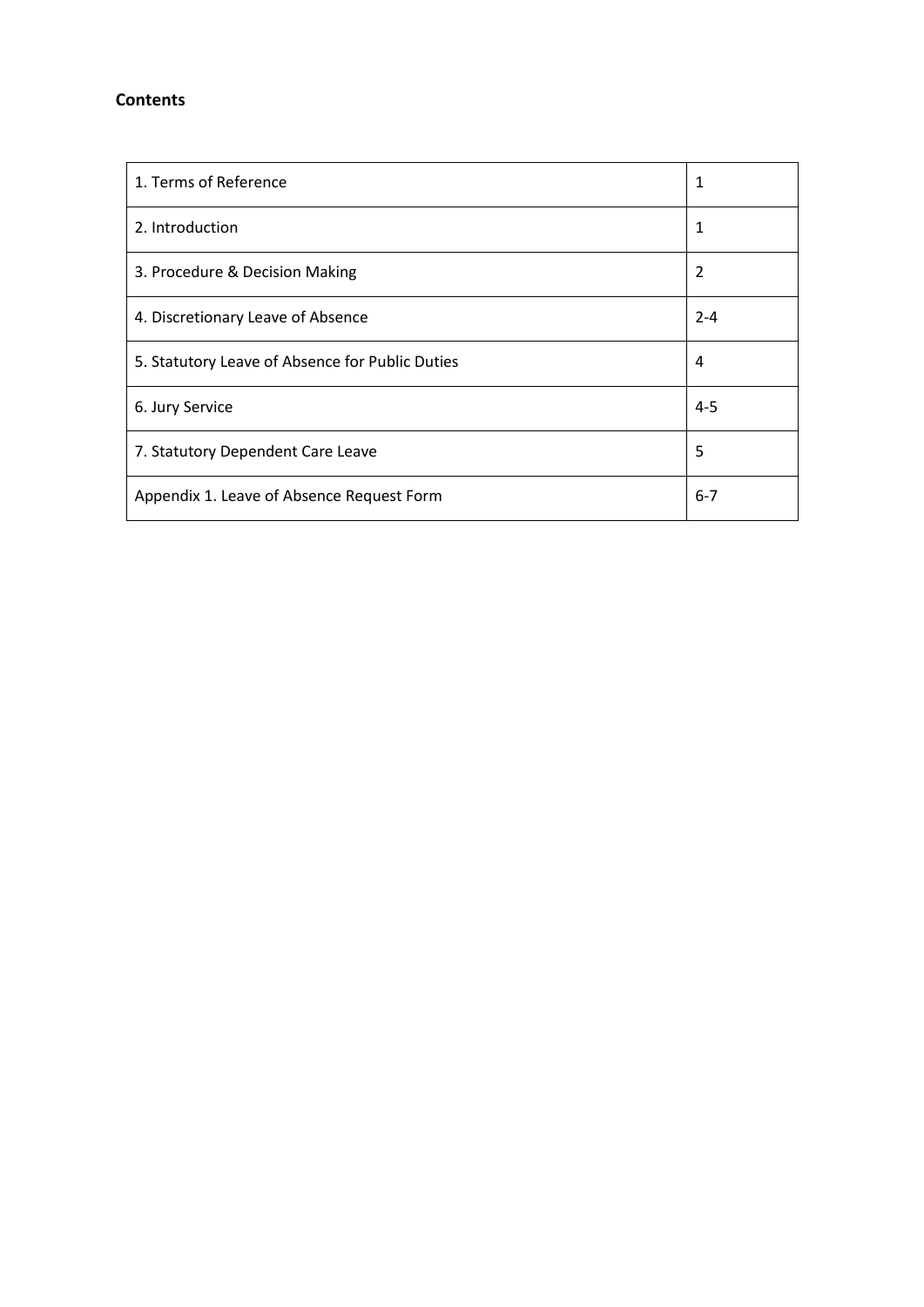## **Contents**

| 1. Terms of Reference                           | 1       |
|-------------------------------------------------|---------|
| 2. Introduction                                 | 1       |
| 3. Procedure & Decision Making                  | 2       |
| 4. Discretionary Leave of Absence               | $2 - 4$ |
| 5. Statutory Leave of Absence for Public Duties | 4       |
| 6. Jury Service                                 | $4 - 5$ |
| 7. Statutory Dependent Care Leave               | 5       |
| Appendix 1. Leave of Absence Request Form       | $6 - 7$ |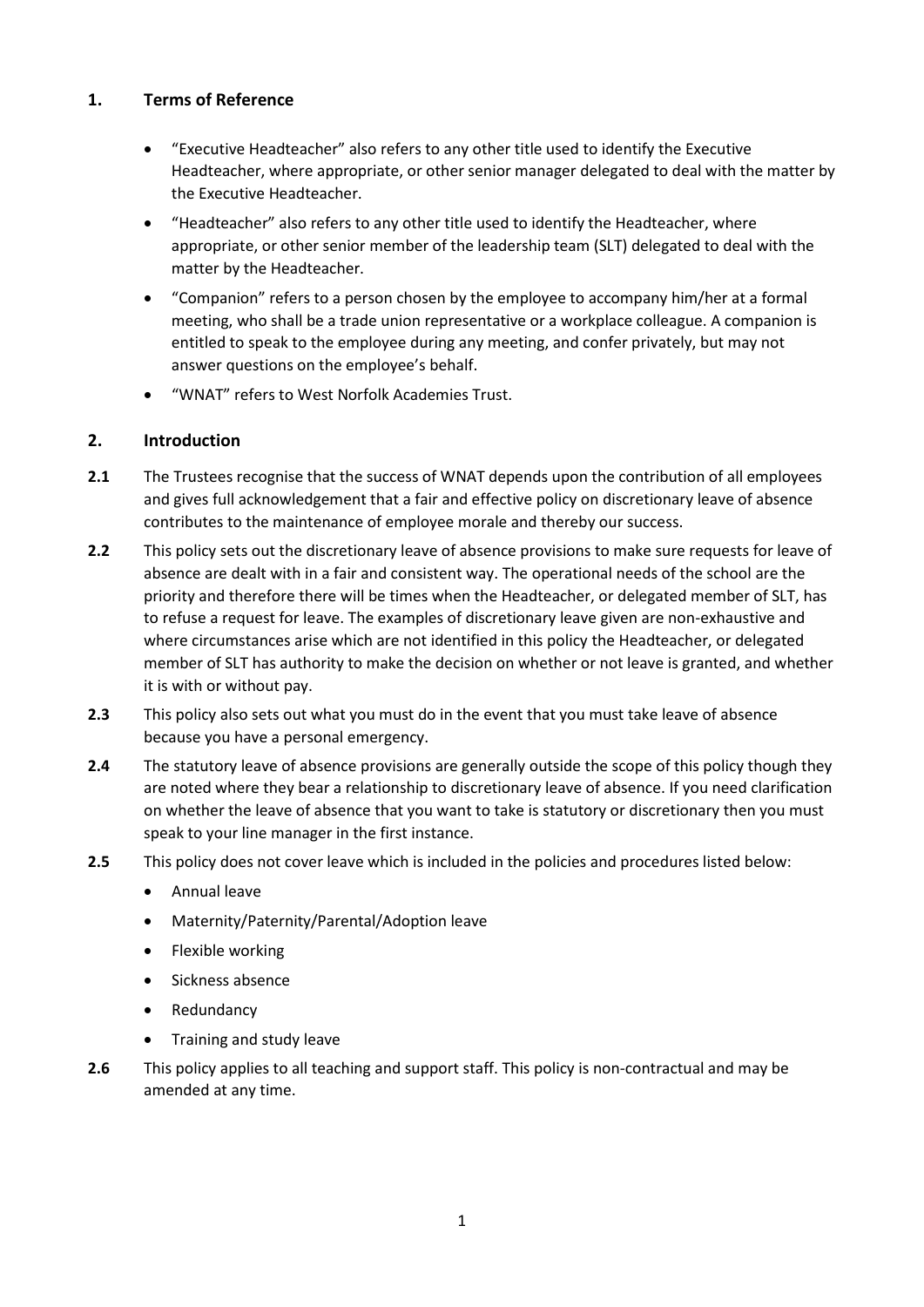## **1. Terms of Reference**

- "Executive Headteacher" also refers to any other title used to identify the Executive Headteacher, where appropriate, or other senior manager delegated to deal with the matter by the Executive Headteacher.
- "Headteacher" also refers to any other title used to identify the Headteacher, where appropriate, or other senior member of the leadership team (SLT) delegated to deal with the matter by the Headteacher.
- "Companion" refers to a person chosen by the employee to accompany him/her at a formal meeting, who shall be a trade union representative or a workplace colleague. A companion is entitled to speak to the employee during any meeting, and confer privately, but may not answer questions on the employee's behalf.
- "WNAT" refers to West Norfolk Academies Trust.

# **2. Introduction**

- **2.1** The Trustees recognise that the success of WNAT depends upon the contribution of all employees and gives full acknowledgement that a fair and effective policy on discretionary leave of absence contributes to the maintenance of employee morale and thereby our success.
- **2.2** This policy sets out the discretionary leave of absence provisions to make sure requests for leave of absence are dealt with in a fair and consistent way. The operational needs of the school are the priority and therefore there will be times when the Headteacher, or delegated member of SLT, has to refuse a request for leave. The examples of discretionary leave given are non-exhaustive and where circumstances arise which are not identified in this policy the Headteacher, or delegated member of SLT has authority to make the decision on whether or not leave is granted, and whether it is with or without pay.
- **2.3** This policy also sets out what you must do in the event that you must take leave of absence because you have a personal emergency.
- **2.4** The statutory leave of absence provisions are generally outside the scope of this policy though they are noted where they bear a relationship to discretionary leave of absence. If you need clarification on whether the leave of absence that you want to take is statutory or discretionary then you must speak to your line manager in the first instance.
- **2.5** This policy does not cover leave which is included in the policies and procedures listed below:
	- Annual leave
	- Maternity/Paternity/Parental/Adoption leave
	- Flexible working
	- Sickness absence
	- Redundancy
	- Training and study leave
- **2.6** This policy applies to all teaching and support staff. This policy is non-contractual and may be amended at any time.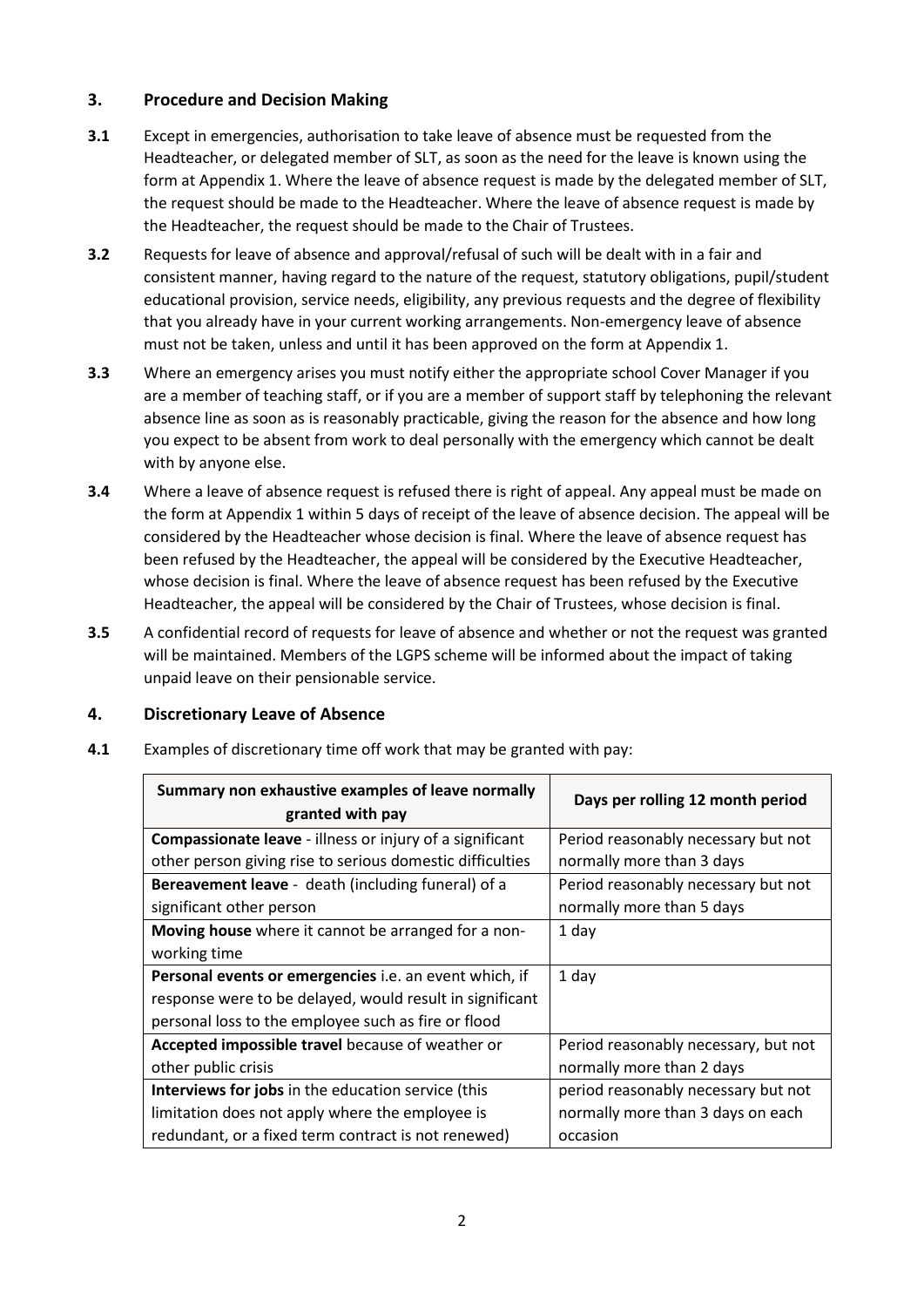# **3. Procedure and Decision Making**

- **3.1** Except in emergencies, authorisation to take leave of absence must be requested from the Headteacher, or delegated member of SLT, as soon as the need for the leave is known using the form at Appendix 1. Where the leave of absence request is made by the delegated member of SLT, the request should be made to the Headteacher. Where the leave of absence request is made by the Headteacher, the request should be made to the Chair of Trustees.
- **3.2** Requests for leave of absence and approval/refusal of such will be dealt with in a fair and consistent manner, having regard to the nature of the request, statutory obligations, pupil/student educational provision, service needs, eligibility, any previous requests and the degree of flexibility that you already have in your current working arrangements. Non-emergency leave of absence must not be taken, unless and until it has been approved on the form at Appendix 1.
- **3.3** Where an emergency arises you must notify either the appropriate school Cover Manager if you are a member of teaching staff, or if you are a member of support staff by telephoning the relevant absence line as soon as is reasonably practicable, giving the reason for the absence and how long you expect to be absent from work to deal personally with the emergency which cannot be dealt with by anyone else.
- **3.4** Where a leave of absence request is refused there is right of appeal. Any appeal must be made on the form at Appendix 1 within 5 days of receipt of the leave of absence decision. The appeal will be considered by the Headteacher whose decision is final. Where the leave of absence request has been refused by the Headteacher, the appeal will be considered by the Executive Headteacher, whose decision is final. Where the leave of absence request has been refused by the Executive Headteacher, the appeal will be considered by the Chair of Trustees, whose decision is final.
- **3.5** A confidential record of requests for leave of absence and whether or not the request was granted will be maintained. Members of the LGPS scheme will be informed about the impact of taking unpaid leave on their pensionable service.

## **4. Discretionary Leave of Absence**

| Summary non exhaustive examples of leave normally<br>granted with pay | Days per rolling 12 month period     |
|-----------------------------------------------------------------------|--------------------------------------|
| <b>Compassionate leave</b> - illness or injury of a significant       | Period reasonably necessary but not  |
| other person giving rise to serious domestic difficulties             | normally more than 3 days            |
| Bereavement leave - death (including funeral) of a                    | Period reasonably necessary but not  |
| significant other person                                              | normally more than 5 days            |
| Moving house where it cannot be arranged for a non-                   | 1 day                                |
| working time                                                          |                                      |
| Personal events or emergencies i.e. an event which, if                | 1 day                                |
| response were to be delayed, would result in significant              |                                      |
| personal loss to the employee such as fire or flood                   |                                      |
| Accepted impossible travel because of weather or                      | Period reasonably necessary, but not |
| other public crisis                                                   | normally more than 2 days            |
| <b>Interviews for jobs</b> in the education service (this             | period reasonably necessary but not  |
| limitation does not apply where the employee is                       | normally more than 3 days on each    |
| redundant, or a fixed term contract is not renewed)                   | occasion                             |

**4.1** Examples of discretionary time off work that may be granted with pay: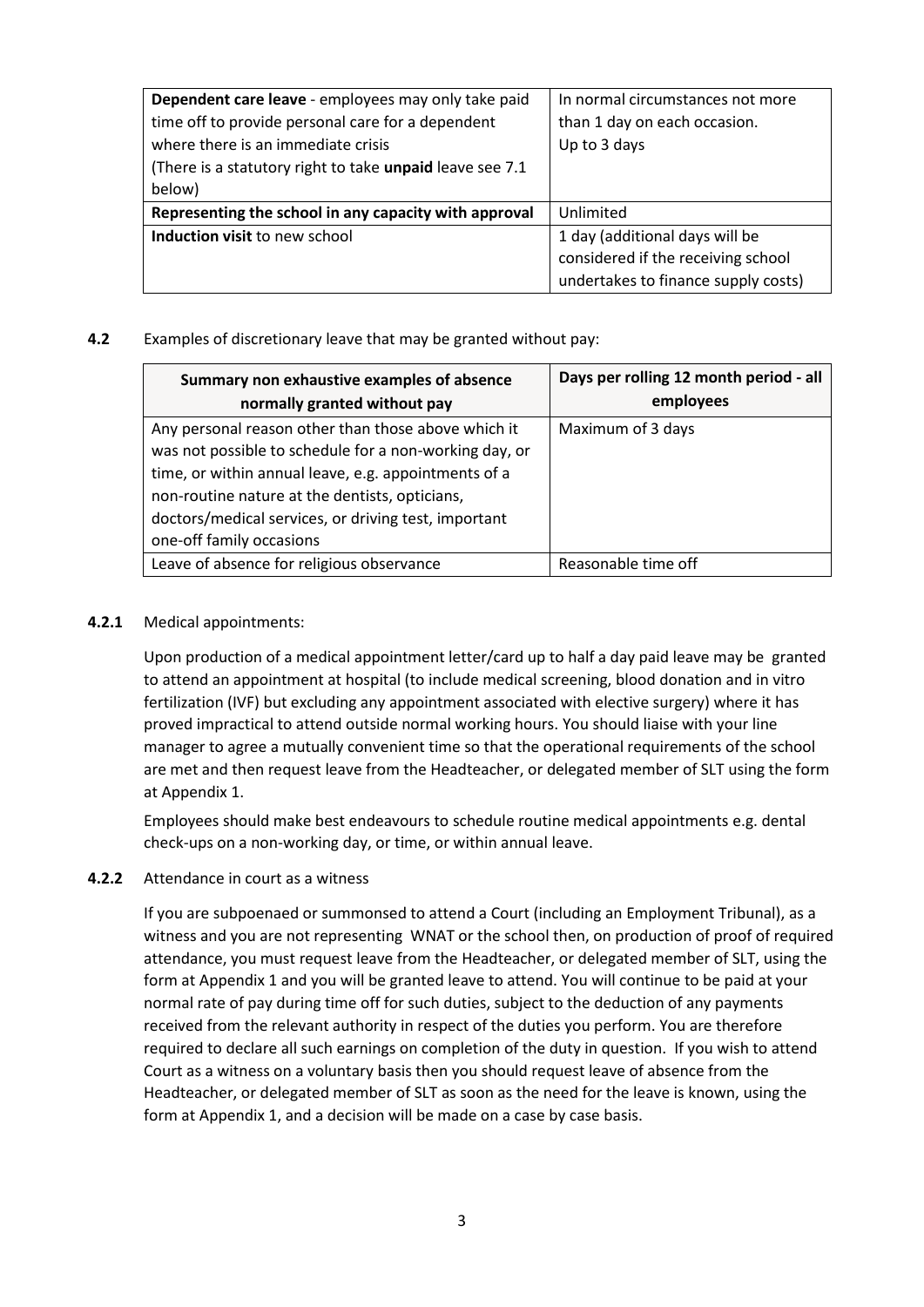| Dependent care leave - employees may only take paid                | In normal circumstances not more    |
|--------------------------------------------------------------------|-------------------------------------|
| time off to provide personal care for a dependent                  | than 1 day on each occasion.        |
| where there is an immediate crisis                                 | Up to 3 days                        |
| (There is a statutory right to take unpaid leave see 7.1           |                                     |
| below)                                                             |                                     |
| Representing the school in any capacity with approval<br>Unlimited |                                     |
| Induction visit to new school<br>1 day (additional days will be    |                                     |
|                                                                    | considered if the receiving school  |
|                                                                    | undertakes to finance supply costs) |

### **4.2** Examples of discretionary leave that may be granted without pay:

| Summary non exhaustive examples of absence             | Days per rolling 12 month period - all |
|--------------------------------------------------------|----------------------------------------|
| normally granted without pay                           | employees                              |
| Any personal reason other than those above which it    | Maximum of 3 days                      |
| was not possible to schedule for a non-working day, or |                                        |
| time, or within annual leave, e.g. appointments of a   |                                        |
| non-routine nature at the dentists, opticians,         |                                        |
| doctors/medical services, or driving test, important   |                                        |
| one-off family occasions                               |                                        |
| Leave of absence for religious observance              | Reasonable time off                    |

### **4.2.1** Medical appointments:

Upon production of a medical appointment letter/card up to half a day paid leave may be granted to attend an appointment at hospital (to include medical screening, blood donation and in vitro fertilization (IVF) but excluding any appointment associated with elective surgery) where it has proved impractical to attend outside normal working hours. You should liaise with your line manager to agree a mutually convenient time so that the operational requirements of the school are met and then request leave from the Headteacher, or delegated member of SLT using the form at Appendix 1.

Employees should make best endeavours to schedule routine medical appointments e.g. dental check-ups on a non-working day, or time, or within annual leave.

#### **4.2.2** Attendance in court as a witness

If you are subpoenaed or summonsed to attend a Court (including an Employment Tribunal), as a witness and you are not representing WNAT or the school then, on production of proof of required attendance, you must request leave from the Headteacher, or delegated member of SLT, using the form at Appendix 1 and you will be granted leave to attend. You will continue to be paid at your normal rate of pay during time off for such duties, subject to the deduction of any payments received from the relevant authority in respect of the duties you perform. You are therefore required to declare all such earnings on completion of the duty in question. If you wish to attend Court as a witness on a voluntary basis then you should request leave of absence from the Headteacher, or delegated member of SLT as soon as the need for the leave is known, using the form at Appendix 1, and a decision will be made on a case by case basis.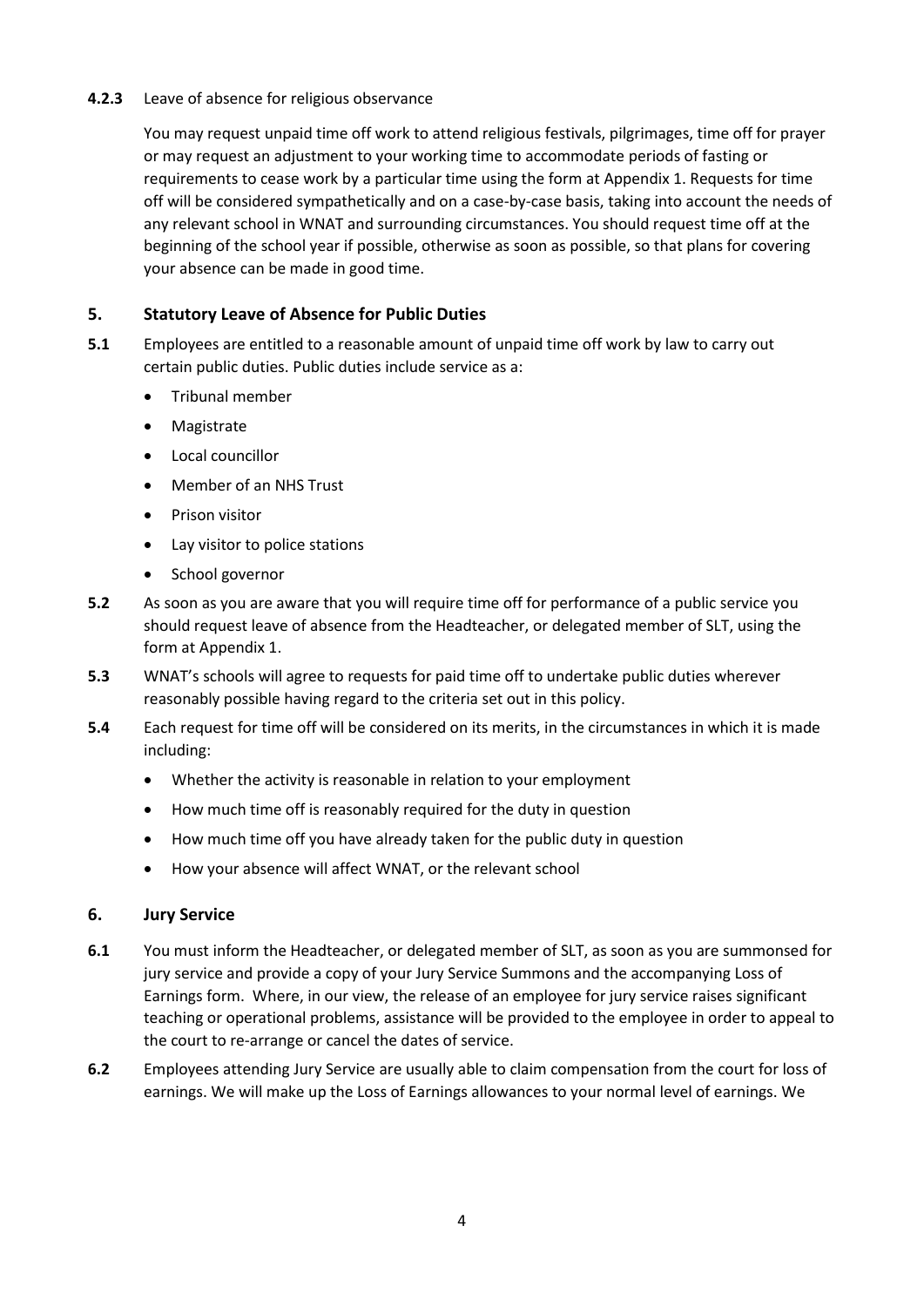### **4.2.3** Leave of absence for religious observance

You may request unpaid time off work to attend religious festivals, pilgrimages, time off for prayer or may request an adjustment to your working time to accommodate periods of fasting or requirements to cease work by a particular time using the form at Appendix 1. Requests for time off will be considered sympathetically and on a case-by-case basis, taking into account the needs of any relevant school in WNAT and surrounding circumstances. You should request time off at the beginning of the school year if possible, otherwise as soon as possible, so that plans for covering your absence can be made in good time.

# **5. Statutory Leave of Absence for Public Duties**

- **5.1** Employees are entitled to a reasonable amount of unpaid time off work by law to carry out certain public duties. Public duties include service as a:
	- **•** Tribunal member
	- Magistrate
	- Local councillor
	- Member of an NHS Trust
	- **•** Prison visitor
	- Lay visitor to police stations
	- School governor
- **5.2** As soon as you are aware that you will require time off for performance of a public service you should request leave of absence from the Headteacher, or delegated member of SLT, using the form at Appendix 1.
- **5.3** WNAT's schools will agree to requests for paid time off to undertake public duties wherever reasonably possible having regard to the criteria set out in this policy.
- **5.4** Each request for time off will be considered on its merits, in the circumstances in which it is made including:
	- Whether the activity is reasonable in relation to your employment
	- How much time off is reasonably required for the duty in question
	- How much time off you have already taken for the public duty in question
	- How your absence will affect WNAT, or the relevant school

## **6. Jury Service**

- **6.1** You must inform the Headteacher, or delegated member of SLT, as soon as you are summonsed for jury service and provide a copy of your Jury Service Summons and the accompanying Loss of Earnings form. Where, in our view, the release of an employee for jury service raises significant teaching or operational problems, assistance will be provided to the employee in order to appeal to the court to re-arrange or cancel the dates of service.
- **6.2** Employees attending Jury Service are usually able to claim compensation from the court for loss of earnings. We will make up the Loss of Earnings allowances to your normal level of earnings. We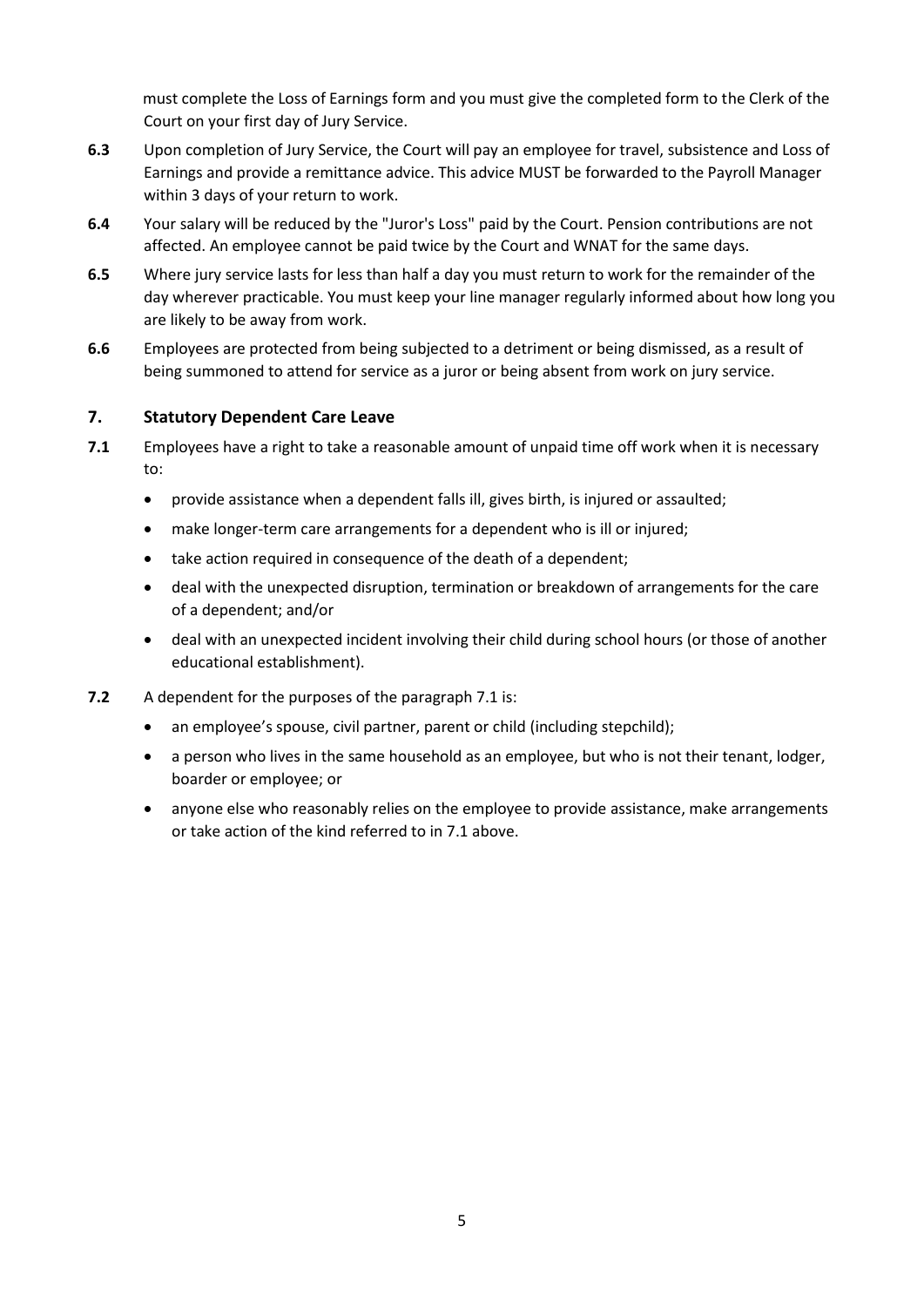must complete the Loss of Earnings form and you must give the completed form to the Clerk of the Court on your first day of Jury Service.

- **6.3** Upon completion of Jury Service, the Court will pay an employee for travel, subsistence and Loss of Earnings and provide a remittance advice. This advice MUST be forwarded to the Payroll Manager within 3 days of your return to work.
- **6.4** Your salary will be reduced by the "Juror's Loss" paid by the Court. Pension contributions are not affected. An employee cannot be paid twice by the Court and WNAT for the same days.
- **6.5** Where jury service lasts for less than half a day you must return to work for the remainder of the day wherever practicable. You must keep your line manager regularly informed about how long you are likely to be away from work.
- **6.6** Employees are protected from being subjected to a detriment or being dismissed, as a result of being summoned to attend for service as a juror or being absent from work on jury service.

## **7. Statutory Dependent Care Leave**

- **7.1** Employees have a right to take a reasonable amount of unpaid time off work when it is necessary to:
	- provide assistance when a dependent falls ill, gives birth, is injured or assaulted;
	- make longer-term care arrangements for a dependent who is ill or injured;
	- take action required in consequence of the death of a dependent;
	- deal with the unexpected disruption, termination or breakdown of arrangements for the care of a dependent; and/or
	- deal with an unexpected incident involving their child during school hours (or those of another educational establishment).
- **7.2** A dependent for the purposes of the paragraph 7.1 is:
	- an employee's spouse, civil partner, parent or child (including stepchild);
	- a person who lives in the same household as an employee, but who is not their tenant, lodger, boarder or employee; or
	- anyone else who reasonably relies on the employee to provide assistance, make arrangements or take action of the kind referred to in 7.1 above.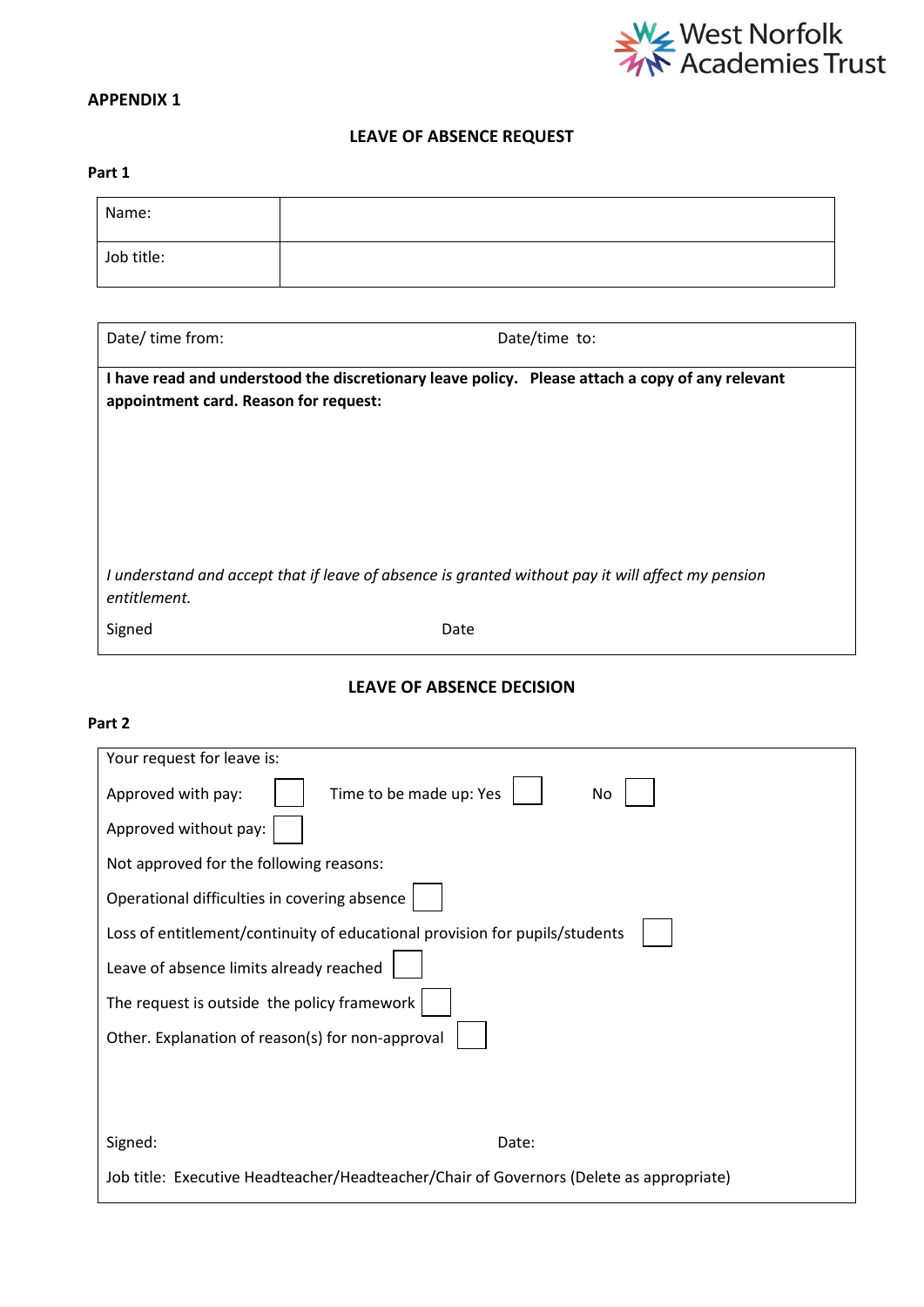

# **APPENDIX 1**

### **LEAVE OF ABSENCE REQUEST**

#### **Part 1**

| Name:      |  |
|------------|--|
| Job title: |  |

| Date/time from:                       | Date/time to:                                                                                     |
|---------------------------------------|---------------------------------------------------------------------------------------------------|
| appointment card. Reason for request: | I have read and understood the discretionary leave policy. Please attach a copy of any relevant   |
|                                       |                                                                                                   |
|                                       |                                                                                                   |
| entitlement.                          | I understand and accept that if leave of absence is granted without pay it will affect my pension |
| Signed                                | Date                                                                                              |

## **LEAVE OF ABSENCE DECISION**

#### **Part 2**

| Your request for leave is:                                                              |  |
|-----------------------------------------------------------------------------------------|--|
| Time to be made up: Yes<br>Approved with pay:<br>No                                     |  |
| Approved without pay:                                                                   |  |
| Not approved for the following reasons:                                                 |  |
| Operational difficulties in covering absence                                            |  |
| Loss of entitlement/continuity of educational provision for pupils/students             |  |
| Leave of absence limits already reached                                                 |  |
| The request is outside the policy framework                                             |  |
| Other. Explanation of reason(s) for non-approval                                        |  |
|                                                                                         |  |
|                                                                                         |  |
|                                                                                         |  |
| Signed:<br>Date:                                                                        |  |
| Job title: Executive Headteacher/Headteacher/Chair of Governors (Delete as appropriate) |  |